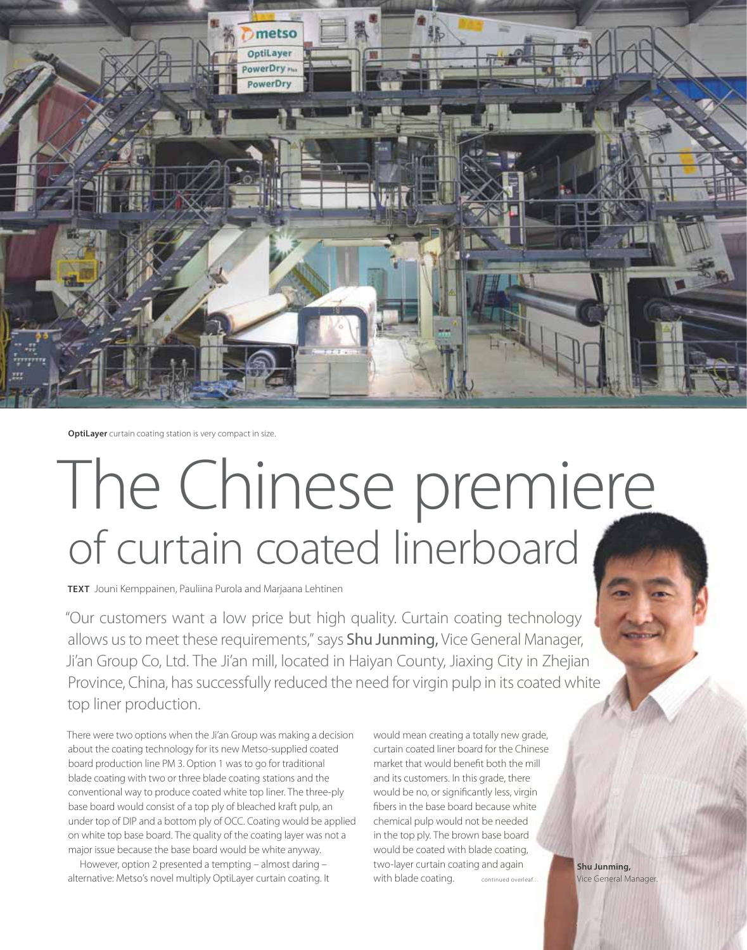

**OptiLayer** curtain coating station is very compact in size.

# The Chinese premiere of curtain coated linerboard

**TEXT** Jouni Kemppainen, Pauliina Purola and Marjaana Lehtinen

"Our customers want a low price but high quality. Curtain coating technology allows us to meet these requirements," says Shu Junming, Vice General Manager, Ji'an Group Co, Ltd. The Ji'an mill, located in Haiyan County, Jiaxing City in Zhejian allows us to meet these requirements," says **Shu Junming,** Vice General Manager,<br>Ji'an Group Co, Ltd. The Ji'an mill, located in Haiyan County, Jiaxing City in Zhejian<br>Province, China, has successfully reduced the need for top liner production. ting technology<br>
General Manager<br>
mg City in Zhejia<br>
o in its coated wh<br>
otally new grade,<br>
d for the Chinese<br>
fit both the mill<br>
syrade, there<br>
ntly less, virgin<br>
because white<br>
t be needed<br>
n base board<br>
ade coating,

There were two options when the Ji'an Group was making a decision about the coating technology for its new Metso-supplied coated board production line PM 3. Option 1 was to go for traditional blade coating with two or three blade coating stations and the conventional way to produce coated white top liner. The three-ply base board would consist of a top ply of bleached kraft pulp, an under top of DIP and a bottom ply of OCC. Coating would be applied on white top base board. The quality of the coating layer was not a major issue because the base board would be white anyway.

However, option 2 presented a tempting – almost daring – alternative: Metso's novel multiply OptiLayer curtain coating. It

would mean creating a totally new grade, curtain coated liner board for the Chinese market that would benefit both the mill and its customers. In this grade, there would be no, or significantly less, virgin fibers in the base board because white chemical pulp would not be needed in the top ply. The brown base board would be coated with blade coating, two-layer curtain coating and again with blade coating. otally new grade,<br>
d for the Chinese<br>
fit both the mill<br>
is grade, there<br>
intly less, virgin<br>
because white<br>
t be needed<br>
in base board<br>
lade coating,<br>
g and again<br>
continued overled.<br>
Vice General Mar<br>
vice General Mar continued overleaf…

**Shu Junming,** Vice General Manager.

RESULTS PULP & PAPER 3/2012 **11**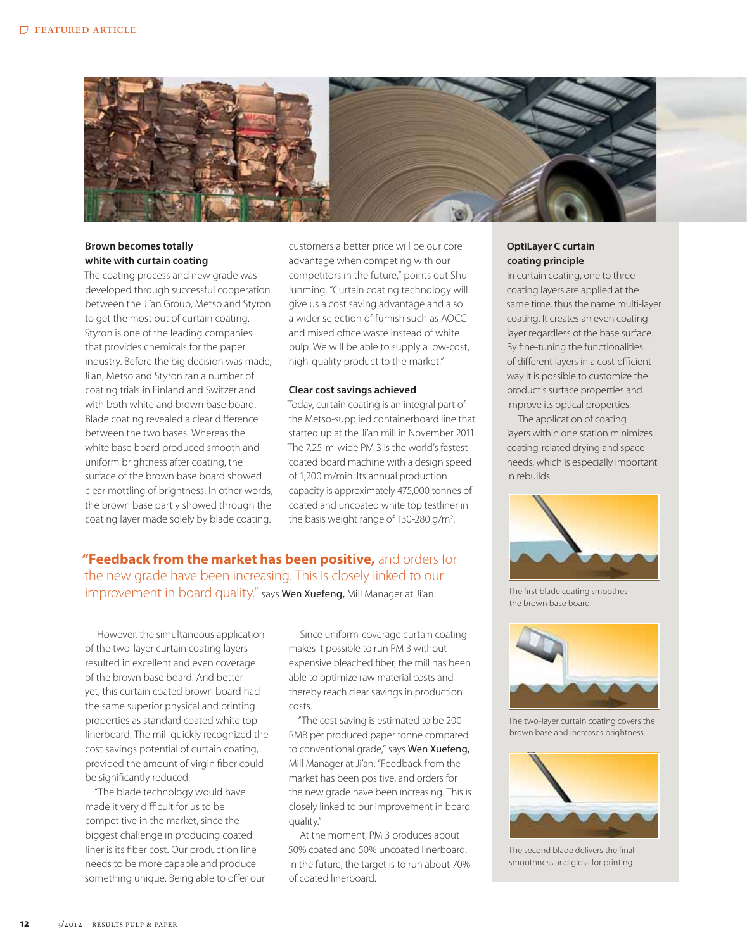

## **Brown becomes totally white with curtain coating**

The coating process and new grade was developed through successful cooperation between the Ji'an Group, Metso and Styron to get the most out of curtain coating. Styron is one of the leading companies that provides chemicals for the paper industry. Before the big decision was made, Ji'an, Metso and Styron ran a number of coating trials in Finland and Switzerland with both white and brown base board. Blade coating revealed a clear difference between the two bases. Whereas the white base board produced smooth and uniform brightness after coating, the surface of the brown base board showed clear mottling of brightness. In other words, the brown base partly showed through the coating layer made solely by blade coating.

customers a better price will be our core advantage when competing with our competitors in the future," points out Shu Junming. "Curtain coating technology will give us a cost saving advantage and also a wider selection of furnish such as AOCC and mixed office waste instead of white pulp. We will be able to supply a low-cost, high-quality product to the market."

#### **Clear cost savings achieved**

Today, curtain coating is an integral part of the Metso-supplied containerboard line that started up at the Ji'an mill in November 2011. The 7.25-m-wide PM 3 is the world's fastest coated board machine with a design speed of 1,200 m/min. Its annual production capacity is approximately 475,000 tonnes of coated and uncoated white top testliner in the basis weight range of 130-280 g/m<sup>2</sup>. .

**"Feedback from the market has been positive,** and orders for the new grade have been increasing. This is closely linked to our improvement in board quality." says Wen Xuefeng, Mill Manager at Ji'an.

However, the simultaneous application of the two-layer curtain coating layers resulted in excellent and even coverage of the brown base board. And better yet, this curtain coated brown board had the same superior physical and printing properties as standard coated white top linerboard. The mill quickly recognized the cost savings potential of curtain coating, provided the amount of virgin fiber could be significantly reduced.

"The blade technology would have made it very difficult for us to be competitive in the market, since the biggest challenge in producing coated liner is its fiber cost. Our production line needs to be more capable and produce something unique. Being able to offer our

Since uniform-coverage curtain coating makes it possible to run PM 3 without expensive bleached fiber, the mill has been able to optimize raw material costs and thereby reach clear savings in production costs.

"The cost saving is estimated to be 200 RMB per produced paper tonne compared to conventional grade," says Wen Xuefeng, Mill Manager at Ji'an. "Feedback from the market has been positive, and orders for the new grade have been increasing. This is closely linked to our improvement in board quality."

At the moment, PM 3 produces about 50% coated and 50% uncoated linerboard. In the future, the target is to run about 70% of coated linerboard.

### **OptiLayer C curtain coating principle**

In curtain coating, one to three coating layers are applied at the same time, thus the name multi-layer coating. It creates an even coating layer regardless of the base surface. By fine-tuning the functionalities of different layers in a cost-efficient way it is possible to customize the product's surface properties and improve its optical properties.

The application of coating layers within one station minimizes coating-related drying and space needs, which is especially important in rebuilds.



The first blade coating smoothes the brown base board.



The two-layer curtain coating covers the brown base and increases brightness.



The second blade delivers the final smoothness and gloss for printing.